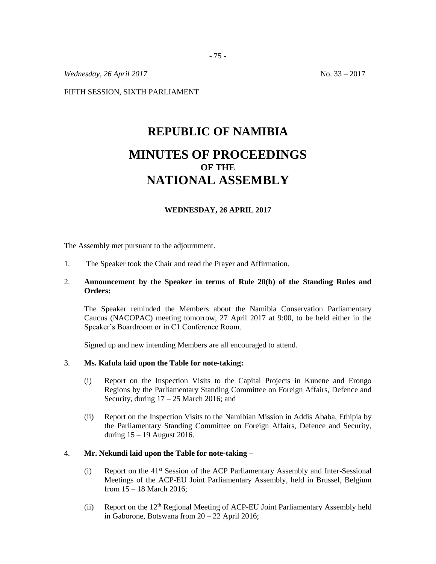*Wednesday, 26 April 2017* No. 33 – 2017

FIFTH SESSION, SIXTH PARLIAMENT

# **REPUBLIC OF NAMIBIA MINUTES OF PROCEEDINGS OF THE NATIONAL ASSEMBLY**

# **WEDNESDAY, 26 APRIL 2017**

The Assembly met pursuant to the adjournment.

1. The Speaker took the Chair and read the Prayer and Affirmation.

# 2. **Announcement by the Speaker in terms of Rule 20(b) of the Standing Rules and Orders:**

The Speaker reminded the Members about the Namibia Conservation Parliamentary Caucus (NACOPAC) meeting tomorrow, 27 April 2017 at 9:00, to be held either in the Speaker's Boardroom or in C1 Conference Room.

Signed up and new intending Members are all encouraged to attend.

#### 3. **Ms. Kafula laid upon the Table for note-taking:**

- (i) Report on the Inspection Visits to the Capital Projects in Kunene and Erongo Regions by the Parliamentary Standing Committee on Foreign Affairs, Defence and Security, during  $17 - 25$  March 2016; and
- (ii) Report on the Inspection Visits to the Namibian Mission in Addis Ababa, Ethipia by the Parliamentary Standing Committee on Foreign Affairs, Defence and Security, during 15 – 19 August 2016.

#### 4. **Mr. Nekundi laid upon the Table for note-taking –**

- (i) Report on the 41st Session of the ACP Parliamentary Assembly and Inter-Sessional Meetings of the ACP-EU Joint Parliamentary Assembly, held in Brussel, Belgium from 15 – 18 March 2016;
- (ii) Report on the 12th Regional Meeting of ACP-EU Joint Parliamentary Assembly held in Gaborone, Botswana from 20 – 22 April 2016;